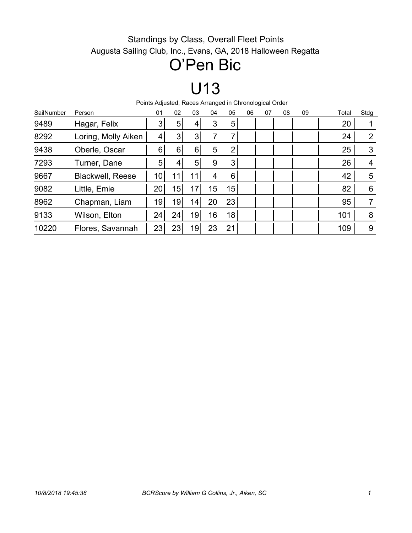#### Standings by Class, Overall Fleet Points Augusta Sailing Club, Inc., Evans, GA, 2018 Halloween Regatta

### O'Pen Bic

### U13

Points Adjusted, Races Arranged in Chronological Order

| SailNumber | Person                  | 01              | 02             | 03              | 04              | 05             | 06 | 07 | 08 | 09 | Total | Stdg |
|------------|-------------------------|-----------------|----------------|-----------------|-----------------|----------------|----|----|----|----|-------|------|
| 9489       | Hagar, Felix            | 3               | 5 <sup>1</sup> | 4               | 3               | 5 <sup>1</sup> |    |    |    |    | 20    |      |
| 8292       | Loring, Molly Aiken     | 4               | 3              | 3 <sup>1</sup>  | ⇁               |                |    |    |    |    | 24    | 2    |
| 9438       | Oberle, Oscar           | 6               | 6              | 6               | 5               | 2              |    |    |    |    | 25    | 3    |
| 7293       | Turner, Dane            | 5               | 4              | 5 <sup>1</sup>  | $\overline{9}$  | 3              |    |    |    |    | 26    | 4    |
| 9667       | <b>Blackwell, Reese</b> | 10 <sub>1</sub> | 11             |                 | 4               | 6              |    |    |    |    | 42    | 5    |
| 9082       | Little, Emie            | 20              | 15             | 17              | 15 <sup>1</sup> | 15             |    |    |    |    | 82    | 6    |
| 8962       | Chapman, Liam           | 19              | 19             | 14 <sub>1</sub> | 20 <sup>°</sup> | 23             |    |    |    |    | 95    |      |
| 9133       | Wilson, Elton           | 24              | 24             | 19              | 16 <sub>1</sub> | 18             |    |    |    |    | 101   | 8    |
| 10220      | Flores, Savannah        | 23              | 23             | 19              | 23              | 21             |    |    |    |    | 109   | 9    |